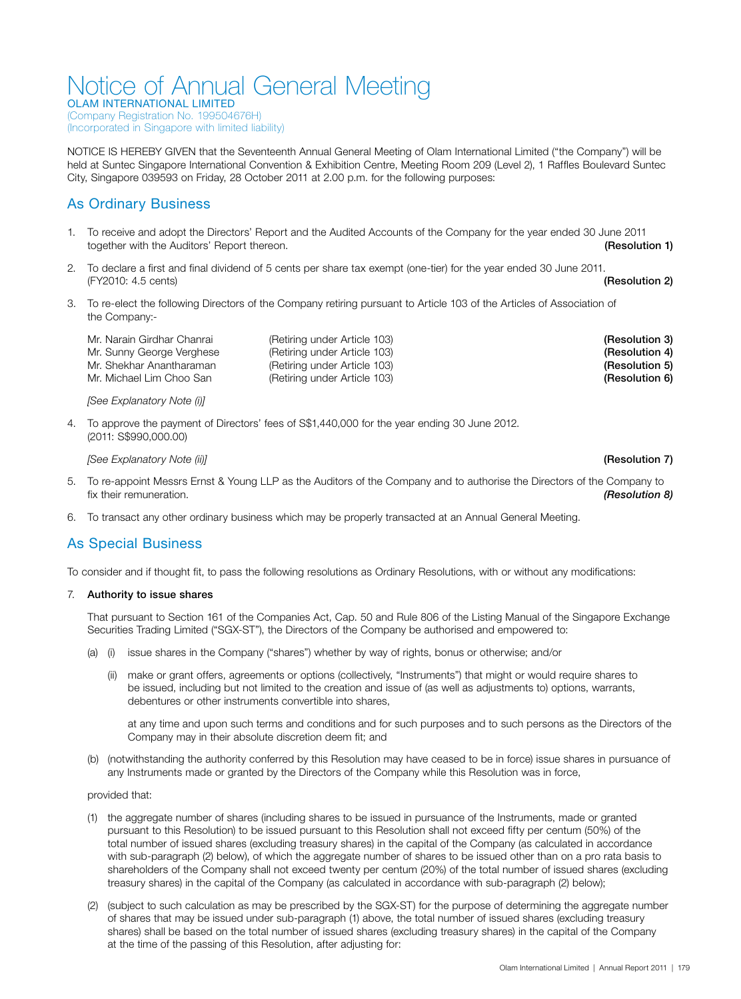# Notice of Annual General Meeting

OLAM INTERNATIONAL LIMITED (Company Registration No. 199504676H) (Incorporated in Singapore with limited liability)

NOTICE IS HEREBY GIVEN that the Seventeenth Annual General Meeting of Olam International Limited ("the Company") will be held at Suntec Singapore International Convention & Exhibition Centre, Meeting Room 209 (Level 2), 1 Raffles Boulevard Suntec City, Singapore 039593 on Friday, 28 October 2011 at 2.00 p.m. for the following purposes:

# As Ordinary Business

- 1. To receive and adopt the Directors' Report and the Audited Accounts of the Company for the year ended 30 June 2011 together with the Auditors' Report thereon. The contraction of the contraction of the Contraction Contraction 1
- 2. To declare a first and final dividend of 5 cents per share tax exempt (one-tier) for the year ended 30 June 2011. (FY2010: 4.5 cents) (Resolution 2)
- 3. To re-elect the following Directors of the Company retiring pursuant to Article 103 of the Articles of Association of the Company:-

| Mr. Narain Girdhar Chanrai | (Retiring under Article 103) |  |
|----------------------------|------------------------------|--|
| Mr. Sunny George Verghese  | (Retiring under Article 103) |  |
| Mr. Shekhar Anantharaman   | (Retiring under Article 103) |  |
| Mr. Michael Lim Choo San   | (Retiring under Article 103) |  |

*[See Explanatory Note (i)]*

4. To approve the payment of Directors' fees of S\$1,440,000 for the year ending 30 June 2012. (2011: S\$990,000.00)

## *[See Explanatory Note (ii)]* (Resolution 7)

- 5. To re-appoint Messrs Ernst & Young LLP as the Auditors of the Company and to authorise the Directors of the Company to fix their remuneration. *(Resolution 8)*
- 6. To transact any other ordinary business which may be properly transacted at an Annual General Meeting.

## As Special Business

To consider and if thought fit, to pass the following resolutions as Ordinary Resolutions, with or without any modifications:

## 7. Authority to issue shares

That pursuant to Section 161 of the Companies Act, Cap. 50 and Rule 806 of the Listing Manual of the Singapore Exchange Securities Trading Limited ("SGX-ST"), the Directors of the Company be authorised and empowered to:

- (a) (i) issue shares in the Company ("shares") whether by way of rights, bonus or otherwise; and/or
	- (ii) make or grant offers, agreements or options (collectively, "Instruments") that might or would require shares to be issued, including but not limited to the creation and issue of (as well as adjustments to) options, warrants, debentures or other instruments convertible into shares,

at any time and upon such terms and conditions and for such purposes and to such persons as the Directors of the Company may in their absolute discretion deem fit; and

(b) (notwithstanding the authority conferred by this Resolution may have ceased to be in force) issue shares in pursuance of any Instruments made or granted by the Directors of the Company while this Resolution was in force,

## provided that:

- (1) the aggregate number of shares (including shares to be issued in pursuance of the Instruments, made or granted pursuant to this Resolution) to be issued pursuant to this Resolution shall not exceed fifty per centum (50%) of the total number of issued shares (excluding treasury shares) in the capital of the Company (as calculated in accordance with sub-paragraph (2) below), of which the aggregate number of shares to be issued other than on a pro rata basis to shareholders of the Company shall not exceed twenty per centum (20%) of the total number of issued shares (excluding treasury shares) in the capital of the Company (as calculated in accordance with sub-paragraph (2) below);
- (2) (subject to such calculation as may be prescribed by the SGX-ST) for the purpose of determining the aggregate number of shares that may be issued under sub-paragraph (1) above, the total number of issued shares (excluding treasury shares) shall be based on the total number of issued shares (excluding treasury shares) in the capital of the Company at the time of the passing of this Resolution, after adjusting for:

(Resolution 3) (Resolution 4) (Resolution 5) (Resolution 6)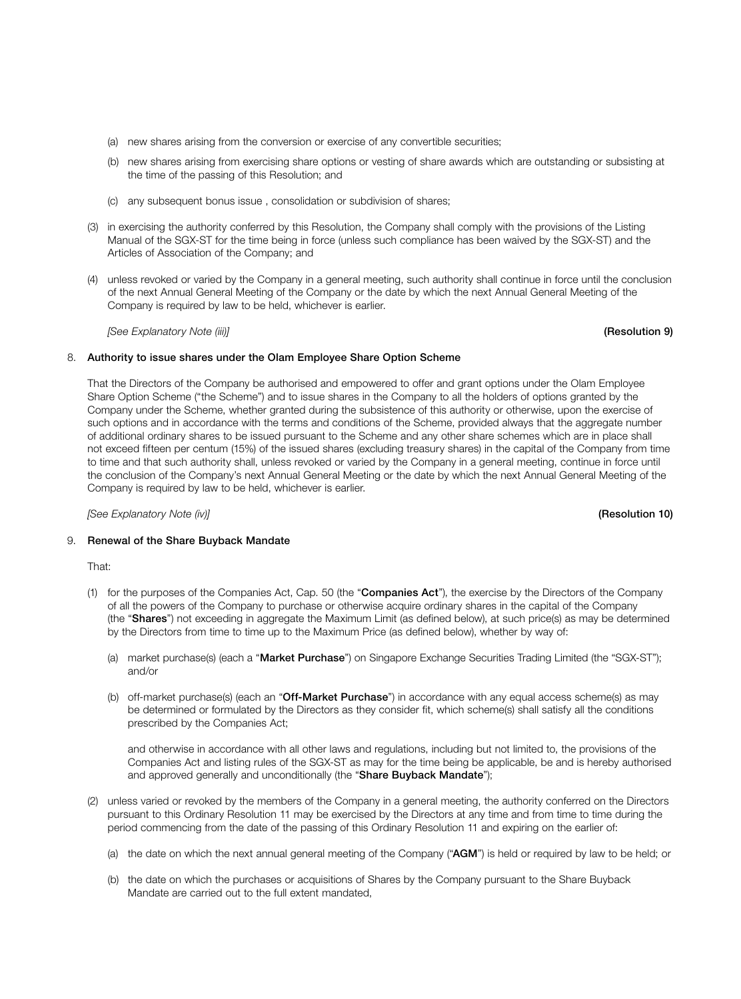- (a) new shares arising from the conversion or exercise of any convertible securities;
- (b) new shares arising from exercising share options or vesting of share awards which are outstanding or subsisting at the time of the passing of this Resolution; and
- (c) any subsequent bonus issue , consolidation or subdivision of shares;
- (3) in exercising the authority conferred by this Resolution, the Company shall comply with the provisions of the Listing Manual of the SGX-ST for the time being in force (unless such compliance has been waived by the SGX-ST) and the Articles of Association of the Company; and
- (4) unless revoked or varied by the Company in a general meeting, such authority shall continue in force until the conclusion of the next Annual General Meeting of the Company or the date by which the next Annual General Meeting of the Company is required by law to be held, whichever is earlier.

*[See Explanatory Note (iii)]* (Resolution 9)

## 8. Authority to issue shares under the Olam Employee Share Option Scheme

That the Directors of the Company be authorised and empowered to offer and grant options under the Olam Employee Share Option Scheme ("the Scheme") and to issue shares in the Company to all the holders of options granted by the Company under the Scheme, whether granted during the subsistence of this authority or otherwise, upon the exercise of such options and in accordance with the terms and conditions of the Scheme, provided always that the aggregate number of additional ordinary shares to be issued pursuant to the Scheme and any other share schemes which are in place shall not exceed fifteen per centum (15%) of the issued shares (excluding treasury shares) in the capital of the Company from time to time and that such authority shall, unless revoked or varied by the Company in a general meeting, continue in force until the conclusion of the Company's next Annual General Meeting or the date by which the next Annual General Meeting of the Company is required by law to be held, whichever is earlier.

*[See Explanatory Note (iv)]* (Resolution 10)

#### 9. Renewal of the Share Buyback Mandate

That:

- (1) for the purposes of the Companies Act, Cap. 50 (the "Companies Act"), the exercise by the Directors of the Company of all the powers of the Company to purchase or otherwise acquire ordinary shares in the capital of the Company (the "Shares") not exceeding in aggregate the Maximum Limit (as defined below), at such price(s) as may be determined by the Directors from time to time up to the Maximum Price (as defined below), whether by way of:
	- (a) market purchase(s) (each a "Market Purchase") on Singapore Exchange Securities Trading Limited (the "SGX-ST"); and/or
	- (b) off-market purchase(s) (each an "Off-Market Purchase") in accordance with any equal access scheme(s) as may be determined or formulated by the Directors as they consider fit, which scheme(s) shall satisfy all the conditions prescribed by the Companies Act;

and otherwise in accordance with all other laws and regulations, including but not limited to, the provisions of the Companies Act and listing rules of the SGX-ST as may for the time being be applicable, be and is hereby authorised and approved generally and unconditionally (the "Share Buyback Mandate");

- (2) unless varied or revoked by the members of the Company in a general meeting, the authority conferred on the Directors pursuant to this Ordinary Resolution 11 may be exercised by the Directors at any time and from time to time during the period commencing from the date of the passing of this Ordinary Resolution 11 and expiring on the earlier of:
	- (a) the date on which the next annual general meeting of the Company ("AGM") is held or required by law to be held; or
	- (b) the date on which the purchases or acquisitions of Shares by the Company pursuant to the Share Buyback Mandate are carried out to the full extent mandated,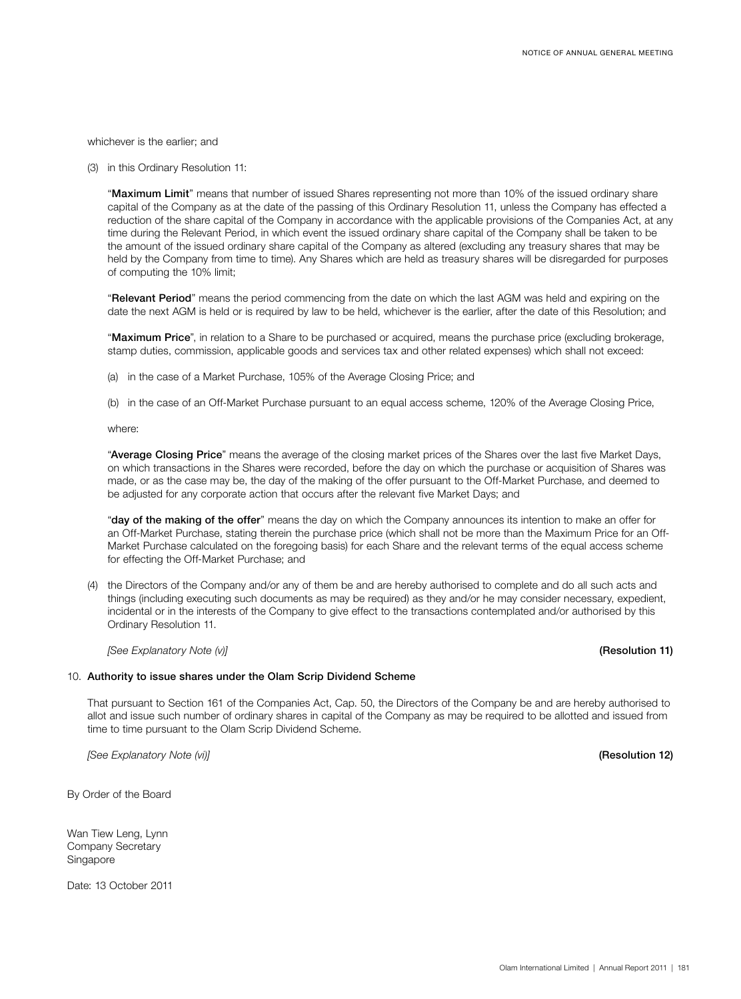whichever is the earlier; and

(3) in this Ordinary Resolution 11:

"Maximum Limit" means that number of issued Shares representing not more than 10% of the issued ordinary share capital of the Company as at the date of the passing of this Ordinary Resolution 11, unless the Company has effected a reduction of the share capital of the Company in accordance with the applicable provisions of the Companies Act, at any time during the Relevant Period, in which event the issued ordinary share capital of the Company shall be taken to be the amount of the issued ordinary share capital of the Company as altered (excluding any treasury shares that may be held by the Company from time to time). Any Shares which are held as treasury shares will be disregarded for purposes of computing the 10% limit;

"Relevant Period" means the period commencing from the date on which the last AGM was held and expiring on the date the next AGM is held or is required by law to be held, whichever is the earlier, after the date of this Resolution; and

"Maximum Price", in relation to a Share to be purchased or acquired, means the purchase price (excluding brokerage, stamp duties, commission, applicable goods and services tax and other related expenses) which shall not exceed:

- (a) in the case of a Market Purchase, 105% of the Average Closing Price; and
- (b) in the case of an Off-Market Purchase pursuant to an equal access scheme, 120% of the Average Closing Price,

where:

"Average Closing Price" means the average of the closing market prices of the Shares over the last five Market Days, on which transactions in the Shares were recorded, before the day on which the purchase or acquisition of Shares was made, or as the case may be, the day of the making of the offer pursuant to the Off-Market Purchase, and deemed to be adjusted for any corporate action that occurs after the relevant five Market Days; and

"day of the making of the offer" means the day on which the Company announces its intention to make an offer for an Off-Market Purchase, stating therein the purchase price (which shall not be more than the Maximum Price for an Off-Market Purchase calculated on the foregoing basis) for each Share and the relevant terms of the equal access scheme for effecting the Off-Market Purchase; and

(4) the Directors of the Company and/or any of them be and are hereby authorised to complete and do all such acts and things (including executing such documents as may be required) as they and/or he may consider necessary, expedient, incidental or in the interests of the Company to give effect to the transactions contemplated and/or authorised by this Ordinary Resolution 11.

*[See Explanatory Note (v)]* (Resolution 11)

#### 10. Authority to issue shares under the Olam Scrip Dividend Scheme

That pursuant to Section 161 of the Companies Act, Cap. 50, the Directors of the Company be and are hereby authorised to allot and issue such number of ordinary shares in capital of the Company as may be required to be allotted and issued from time to time pursuant to the Olam Scrip Dividend Scheme.

*[See Explanatory Note (vi)]* (Resolution 12)

By Order of the Board

Wan Tiew Leng, Lynn Company Secretary **Singapore** 

Date: 13 October 2011